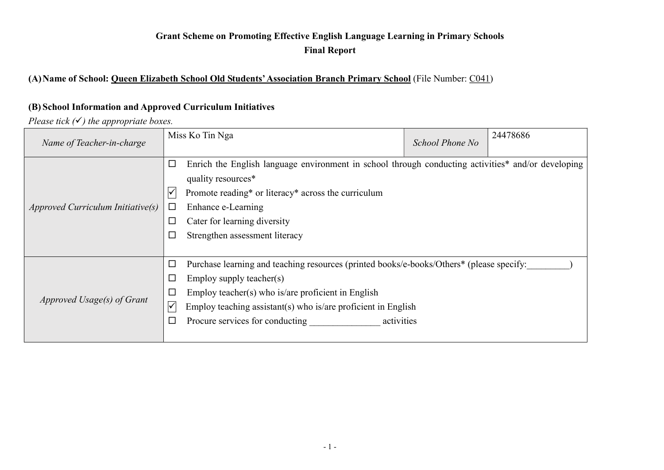## Grant Scheme on Promoting Effective English Language Learning in Primary Schools Final Report

# (A) Name of School: Queen Elizabeth School Old Students' Association Branch Primary School (File Number: C041)

#### (B) School Information and Approved Curriculum Initiatives

Please tick  $(V)$  the appropriate boxes.

| Name of Teacher-in-charge         | Miss Ko Tin Nga                                                                                                                                                                                                                                                                                                                                 | School Phone No | 24478686 |
|-----------------------------------|-------------------------------------------------------------------------------------------------------------------------------------------------------------------------------------------------------------------------------------------------------------------------------------------------------------------------------------------------|-----------------|----------|
| Approved Curricular Initiative(s) | Enrich the English language environment in school through conducting activities* and/or developing<br>$\Box$<br>quality resources*<br>$\checkmark$<br>Promote reading* or literacy* across the curriculum<br>Enhance e-Learning<br>□<br>Cater for learning diversity<br>$\Box$<br>$\Box$<br>Strengthen assessment literacy                      |                 |          |
| Approved Usage(s) of Grant        | Purchase learning and teaching resources (printed books/e-books/Others* (please specify:<br>$\Box$<br>Employ supply teacher(s)<br>$\Box$<br>Employ teacher(s) who is/are proficient in English<br>$\Box$<br>Employ teaching assistant(s) who is/are proficient in English<br>$\checkmark$<br>Procure services for conducting<br>activities<br>□ |                 |          |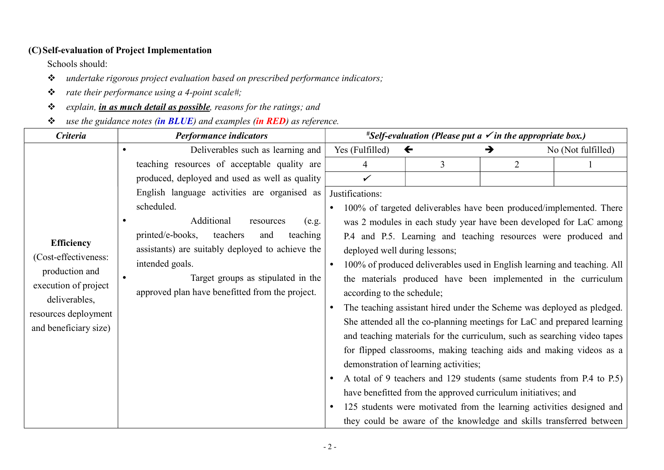#### (C)Self-evaluation of Project Implementation

Schools should:

- \* undertake rigorous project evaluation based on prescribed performance indicators;
- $\triangleq$  rate their performance using a 4-point scale#;
- \* explain, *in as much detail as possible*, reasons for the ratings; and
- $\div$  use the guidance notes (in BLUE) and examples (in RED) as reference.

| <b>Criteria</b>                       | <b>Performance indicators</b>                    |                                                                |                                       | <i>*Self-evaluation (Please put a <math>\checkmark</math> in the appropriate box.)</i> |                    |
|---------------------------------------|--------------------------------------------------|----------------------------------------------------------------|---------------------------------------|----------------------------------------------------------------------------------------|--------------------|
|                                       | Deliverables such as learning and                | Yes (Fulfilled)                                                | $\leftarrow$                          | →                                                                                      | No (Not fulfilled) |
|                                       | teaching resources of acceptable quality are     | 4                                                              | 3                                     | 2                                                                                      |                    |
|                                       | produced, deployed and used as well as quality   | ✓                                                              |                                       |                                                                                        |                    |
|                                       | English language activities are organised as     | Justifications:                                                |                                       |                                                                                        |                    |
|                                       | scheduled.                                       |                                                                |                                       | 100% of targeted deliverables have been produced/implemented. There                    |                    |
|                                       | Additional<br>resources<br>(e.g.                 |                                                                |                                       | was 2 modules in each study year have been developed for LaC among                     |                    |
|                                       | printed/e-books,<br>teachers<br>teaching<br>and  |                                                                |                                       | P.4 and P.5. Learning and teaching resources were produced and                         |                    |
| <b>Efficiency</b>                     | assistants) are suitably deployed to achieve the | deployed well during lessons;                                  |                                       |                                                                                        |                    |
| (Cost-effectiveness:                  | intended goals.                                  | $\bullet$                                                      |                                       | 100% of produced deliverables used in English learning and teaching. All               |                    |
| production and                        | Target groups as stipulated in the<br>$\bullet$  | the materials produced have been implemented in the curriculum |                                       |                                                                                        |                    |
| execution of project<br>deliverables, | approved plan have benefitted from the project.  | according to the schedule;                                     |                                       |                                                                                        |                    |
| resources deployment                  |                                                  |                                                                |                                       | The teaching assistant hired under the Scheme was deployed as pledged.                 |                    |
|                                       |                                                  |                                                                |                                       | She attended all the co-planning meetings for LaC and prepared learning                |                    |
| and beneficiary size)                 |                                                  |                                                                |                                       | and teaching materials for the curriculum, such as searching video tapes               |                    |
|                                       |                                                  |                                                                |                                       | for flipped classrooms, making teaching aids and making videos as a                    |                    |
|                                       |                                                  |                                                                | demonstration of learning activities; |                                                                                        |                    |
|                                       |                                                  |                                                                |                                       | A total of 9 teachers and 129 students (same students from P.4 to P.5)                 |                    |
|                                       |                                                  |                                                                |                                       | have benefitted from the approved curriculum initiatives; and                          |                    |
|                                       |                                                  |                                                                |                                       | 125 students were motivated from the learning activities designed and                  |                    |
|                                       |                                                  |                                                                |                                       | they could be aware of the knowledge and skills transferred between                    |                    |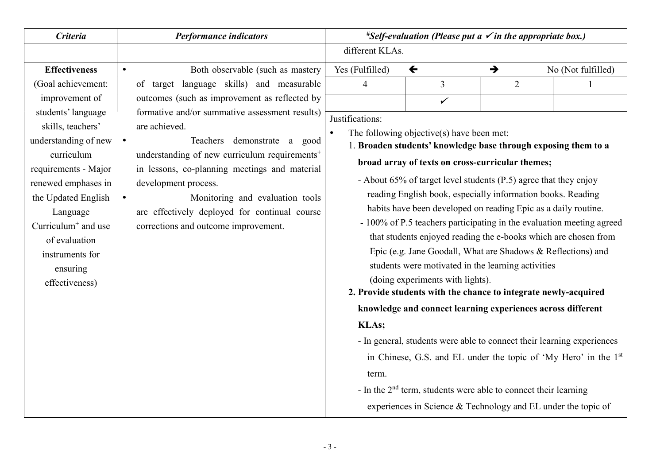|                                                                                                                                                                                                                                                                                                                                                                                                                                                                             | different KLAs.                                     |                                | <i>*Self-evaluation (Please put a <math>\checkmark</math> in the appropriate box.)</i> |                                                                                                                                                                                                                                                                                                                                                                                                                                                                                                                                                                                                                                                                                                                                                                                                                                                                                                                                                                                                                                                                                                             |  |  |
|-----------------------------------------------------------------------------------------------------------------------------------------------------------------------------------------------------------------------------------------------------------------------------------------------------------------------------------------------------------------------------------------------------------------------------------------------------------------------------|-----------------------------------------------------|--------------------------------|----------------------------------------------------------------------------------------|-------------------------------------------------------------------------------------------------------------------------------------------------------------------------------------------------------------------------------------------------------------------------------------------------------------------------------------------------------------------------------------------------------------------------------------------------------------------------------------------------------------------------------------------------------------------------------------------------------------------------------------------------------------------------------------------------------------------------------------------------------------------------------------------------------------------------------------------------------------------------------------------------------------------------------------------------------------------------------------------------------------------------------------------------------------------------------------------------------------|--|--|
|                                                                                                                                                                                                                                                                                                                                                                                                                                                                             |                                                     |                                |                                                                                        |                                                                                                                                                                                                                                                                                                                                                                                                                                                                                                                                                                                                                                                                                                                                                                                                                                                                                                                                                                                                                                                                                                             |  |  |
| Both observable (such as mastery                                                                                                                                                                                                                                                                                                                                                                                                                                            | Yes (Fulfilled)                                     | $\leftarrow$                   | $\rightarrow$                                                                          | No (Not fulfilled)                                                                                                                                                                                                                                                                                                                                                                                                                                                                                                                                                                                                                                                                                                                                                                                                                                                                                                                                                                                                                                                                                          |  |  |
| of target language skills) and measurable<br>outcomes (such as improvement as reflected by<br>formative and/or summative assessment results)<br>are achieved.<br>Teachers demonstrate a good<br>understanding of new curriculum requirements <sup>+</sup><br>in lessons, co-planning meetings and material<br>development process.<br>Monitoring and evaluation tools<br>$\bullet$<br>are effectively deployed for continual course<br>corrections and outcome improvement. | 4<br>Justifications:<br>$\bullet$<br>KLAs;<br>term. | $\overline{3}$<br>$\checkmark$ | $\overline{2}$                                                                         |                                                                                                                                                                                                                                                                                                                                                                                                                                                                                                                                                                                                                                                                                                                                                                                                                                                                                                                                                                                                                                                                                                             |  |  |
|                                                                                                                                                                                                                                                                                                                                                                                                                                                                             |                                                     |                                |                                                                                        | The following objective(s) have been met:<br>1. Broaden students' knowledge base through exposing them to a<br>broad array of texts on cross-curricular themes;<br>- About 65% of target level students (P.5) agree that they enjoy<br>reading English book, especially information books. Reading<br>habits have been developed on reading Epic as a daily routine.<br>- 100% of P.5 teachers participating in the evaluation meeting agreed<br>that students enjoyed reading the e-books which are chosen from<br>Epic (e.g. Jane Goodall, What are Shadows & Reflections) and<br>students were motivated in the learning activities<br>(doing experiments with lights).<br>2. Provide students with the chance to integrate newly-acquired<br>knowledge and connect learning experiences across different<br>- In general, students were able to connect their learning experiences<br>in Chinese, G.S. and EL under the topic of 'My Hero' in the 1 <sup>st</sup><br>- In the $2nd$ term, students were able to connect their learning<br>experiences in Science & Technology and EL under the topic of |  |  |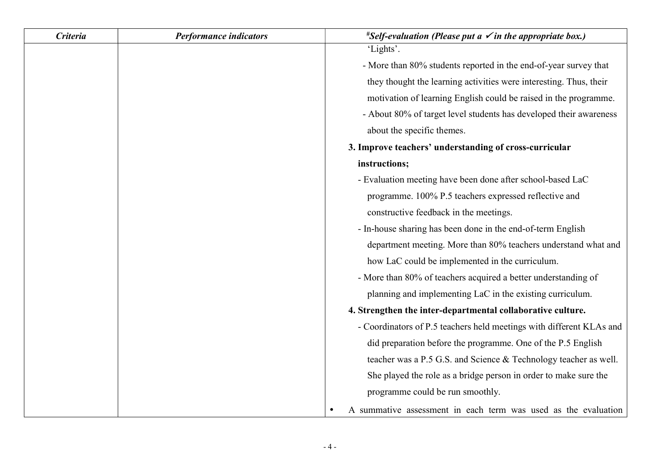| <b>Criteria</b> | <b>Performance indicators</b> | <i>*Self-evaluation (Please put a <math>\checkmark</math> in the appropriate box.)</i> |
|-----------------|-------------------------------|----------------------------------------------------------------------------------------|
|                 |                               | 'Lights'.                                                                              |
|                 |                               | - More than 80% students reported in the end-of-year survey that                       |
|                 |                               | they thought the learning activities were interesting. Thus, their                     |
|                 |                               | motivation of learning English could be raised in the programme.                       |
|                 |                               | - About 80% of target level students has developed their awareness                     |
|                 |                               | about the specific themes.                                                             |
|                 |                               | 3. Improve teachers' understanding of cross-curricular                                 |
|                 |                               | instructions;                                                                          |
|                 |                               | - Evaluation meeting have been done after school-based LaC                             |
|                 |                               | programme. 100% P.5 teachers expressed reflective and                                  |
|                 |                               | constructive feedback in the meetings.                                                 |
|                 |                               | - In-house sharing has been done in the end-of-term English                            |
|                 |                               | department meeting. More than 80% teachers understand what and                         |
|                 |                               | how LaC could be implemented in the curriculum.                                        |
|                 |                               | - More than 80% of teachers acquired a better understanding of                         |
|                 |                               | planning and implementing LaC in the existing curriculum.                              |
|                 |                               | 4. Strengthen the inter-departmental collaborative culture.                            |
|                 |                               | - Coordinators of P.5 teachers held meetings with different KLAs and                   |
|                 |                               | did preparation before the programme. One of the P.5 English                           |
|                 |                               | teacher was a P.5 G.S. and Science & Technology teacher as well.                       |
|                 |                               | She played the role as a bridge person in order to make sure the                       |
|                 |                               | programme could be run smoothly.                                                       |
|                 |                               | A summative assessment in each term was used as the evaluation                         |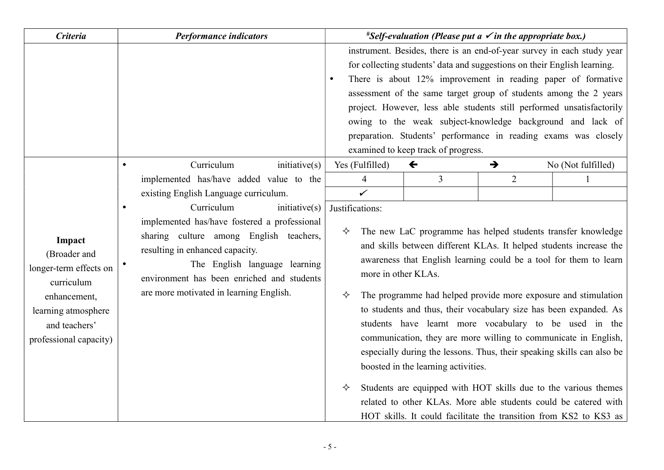| <b>Criteria</b>                                                                                                                                  | <b>Performance indicators</b>                                                                                                                                                                                                                                                        |                                                       | <i>*Self-evaluation (Please put a <math>\checkmark</math> in the appropriate box.)</i> |                |                                                                                                                                                                                                                                                                                                                                                                                                                                                                                                                                                                                                                                                                                                                                                                  |
|--------------------------------------------------------------------------------------------------------------------------------------------------|--------------------------------------------------------------------------------------------------------------------------------------------------------------------------------------------------------------------------------------------------------------------------------------|-------------------------------------------------------|----------------------------------------------------------------------------------------|----------------|------------------------------------------------------------------------------------------------------------------------------------------------------------------------------------------------------------------------------------------------------------------------------------------------------------------------------------------------------------------------------------------------------------------------------------------------------------------------------------------------------------------------------------------------------------------------------------------------------------------------------------------------------------------------------------------------------------------------------------------------------------------|
|                                                                                                                                                  |                                                                                                                                                                                                                                                                                      | $\bullet$                                             | examined to keep track of progress.                                                    |                | instrument. Besides, there is an end-of-year survey in each study year<br>for collecting students' data and suggestions on their English learning.<br>There is about 12% improvement in reading paper of formative<br>assessment of the same target group of students among the 2 years<br>project. However, less able students still performed unsatisfactorily<br>owing to the weak subject-knowledge background and lack of<br>preparation. Students' performance in reading exams was closely                                                                                                                                                                                                                                                                |
|                                                                                                                                                  | Curriculum<br>inititative(s)                                                                                                                                                                                                                                                         | Yes (Fulfilled)                                       | $\leftarrow$                                                                           | →              | No (Not fulfilled)                                                                                                                                                                                                                                                                                                                                                                                                                                                                                                                                                                                                                                                                                                                                               |
|                                                                                                                                                  | implemented has/have added value to the<br>existing English Language curriculum.                                                                                                                                                                                                     | $\overline{4}$<br>$\checkmark$                        | $\overline{3}$                                                                         | $\overline{2}$ | $\mathbf{1}$                                                                                                                                                                                                                                                                                                                                                                                                                                                                                                                                                                                                                                                                                                                                                     |
| Impact<br>(Broader and<br>longer-term effects on<br>curriculum<br>enhancement,<br>learning atmosphere<br>and teachers'<br>professional capacity) | Curriculum<br>inititative(s)<br>implemented has/have fostered a professional<br>sharing culture among English teachers,<br>resulting in enhanced capacity.<br>The English language learning<br>environment has been enriched and students<br>are more motivated in learning English. | Justifications:<br>✧<br>more in other KLAs.<br>✧<br>✧ | boosted in the learning activities.                                                    |                | The new LaC programme has helped students transfer knowledge<br>and skills between different KLAs. It helped students increase the<br>awareness that English learning could be a tool for them to learn<br>The programme had helped provide more exposure and stimulation<br>to students and thus, their vocabulary size has been expanded. As<br>students have learnt more vocabulary to be used in the<br>communication, they are more willing to communicate in English,<br>especially during the lessons. Thus, their speaking skills can also be<br>Students are equipped with HOT skills due to the various themes<br>related to other KLAs. More able students could be catered with<br>HOT skills. It could facilitate the transition from KS2 to KS3 as |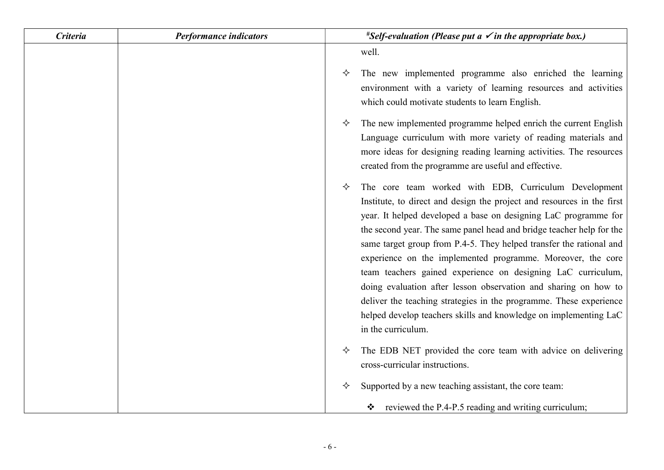| <b>Criteria</b> | <b>Performance indicators</b> | <i>*Self-evaluation (Please put a <math>\checkmark</math> in the appropriate box.)</i>                                                                                                                                                                                                                                                                                                                                                                                                                                                                                                                                                                                                                                   |
|-----------------|-------------------------------|--------------------------------------------------------------------------------------------------------------------------------------------------------------------------------------------------------------------------------------------------------------------------------------------------------------------------------------------------------------------------------------------------------------------------------------------------------------------------------------------------------------------------------------------------------------------------------------------------------------------------------------------------------------------------------------------------------------------------|
|                 |                               | well.                                                                                                                                                                                                                                                                                                                                                                                                                                                                                                                                                                                                                                                                                                                    |
|                 |                               | The new implemented programme also enriched the learning<br>✧<br>environment with a variety of learning resources and activities<br>which could motivate students to learn English.                                                                                                                                                                                                                                                                                                                                                                                                                                                                                                                                      |
|                 |                               | The new implemented programme helped enrich the current English<br>✧<br>Language curriculum with more variety of reading materials and<br>more ideas for designing reading learning activities. The resources<br>created from the programme are useful and effective.                                                                                                                                                                                                                                                                                                                                                                                                                                                    |
|                 |                               | The core team worked with EDB, Curriculum Development<br>✧<br>Institute, to direct and design the project and resources in the first<br>year. It helped developed a base on designing LaC programme for<br>the second year. The same panel head and bridge teacher help for the<br>same target group from P.4-5. They helped transfer the rational and<br>experience on the implemented programme. Moreover, the core<br>team teachers gained experience on designing LaC curriculum,<br>doing evaluation after lesson observation and sharing on how to<br>deliver the teaching strategies in the programme. These experience<br>helped develop teachers skills and knowledge on implementing LaC<br>in the curriculum. |
|                 |                               | The EDB NET provided the core team with advice on delivering<br>✧<br>cross-curricular instructions.                                                                                                                                                                                                                                                                                                                                                                                                                                                                                                                                                                                                                      |
|                 |                               | Supported by a new teaching assistant, the core team:<br>✧<br>* reviewed the P.4-P.5 reading and writing curriculum;                                                                                                                                                                                                                                                                                                                                                                                                                                                                                                                                                                                                     |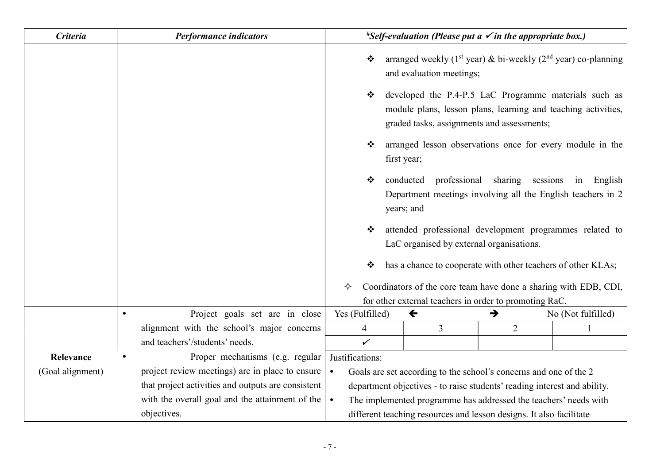| <b>Criteria</b>  | <b>Performance indicators</b>                      | <i>*Self-evaluation (Please put a <math>\checkmark</math> in the appropriate box.)</i> |                                                                                                                                                                      |                    |
|------------------|----------------------------------------------------|----------------------------------------------------------------------------------------|----------------------------------------------------------------------------------------------------------------------------------------------------------------------|--------------------|
|                  |                                                    | ❖<br>and evaluation meetings;                                                          | arranged weekly ( $1st$ year) & bi-weekly ( $2nd$ year) co-planning                                                                                                  |                    |
|                  |                                                    | ❖                                                                                      | developed the P.4-P.5 LaC Programme materials such as<br>module plans, lesson plans, learning and teaching activities,<br>graded tasks, assignments and assessments; |                    |
|                  |                                                    | ❖<br>first year;                                                                       | arranged lesson observations once for every module in the                                                                                                            |                    |
|                  |                                                    | conducted<br>❖<br>years; and                                                           | professional sharing<br>sessions<br>Department meetings involving all the English teachers in 2                                                                      | in<br>English      |
|                  |                                                    | ❖                                                                                      | attended professional development programmes related to<br>LaC organised by external organisations.                                                                  |                    |
|                  |                                                    |                                                                                        | has a chance to cooperate with other teachers of other KLAs;                                                                                                         |                    |
|                  |                                                    | Coordinators of the core team have done a sharing with EDB, CDI,<br>✧                  |                                                                                                                                                                      |                    |
|                  |                                                    | for other external teachers in order to promoting RaC.                                 |                                                                                                                                                                      |                    |
|                  | Project goals set are in close<br>$\bullet$        | Yes (Fulfilled)<br>$\leftarrow$                                                        | →                                                                                                                                                                    | No (Not fulfilled) |
|                  | alignment with the school's major concerns         | 3<br>4                                                                                 | $\overline{2}$                                                                                                                                                       |                    |
|                  | and teachers'/students' needs.                     | $\checkmark$                                                                           |                                                                                                                                                                      |                    |
| Relevance        | Proper mechanisms (e.g. regular                    | Justifications:                                                                        |                                                                                                                                                                      |                    |
| (Goal alignment) | project review meetings) are in place to ensure    | Goals are set according to the school's concerns and one of the 2<br>$\bullet$         |                                                                                                                                                                      |                    |
|                  | that project activities and outputs are consistent | department objectives - to raise students' reading interest and ability.               |                                                                                                                                                                      |                    |
|                  | with the overall goal and the attainment of the    | The implemented programme has addressed the teachers' needs with<br>$\bullet$          |                                                                                                                                                                      |                    |
|                  | objectives.                                        | different teaching resources and lesson designs. It also facilitate                    |                                                                                                                                                                      |                    |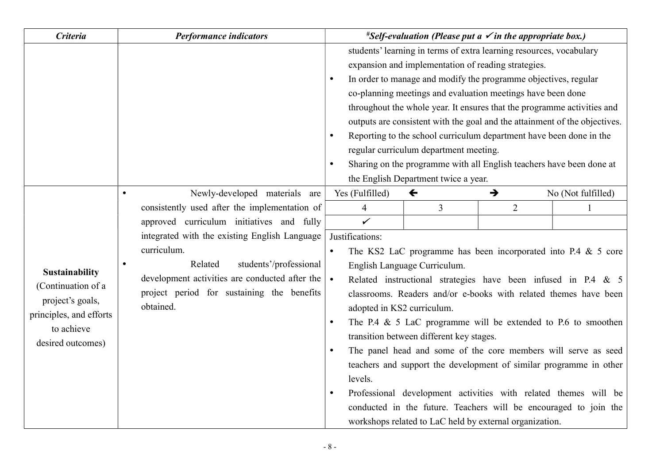| <b>Criteria</b>                                                                                                        | <b>Performance indicators</b>                                                                                                                                                                                                       |                                                                                | <i>*Self-evaluation (Please put a <math>\checkmark</math> in the appropriate box.)</i>                                                                                                                                                                                                                                                                                                                                                                                                                                                                                                                                                                                                                                       |                |                    |
|------------------------------------------------------------------------------------------------------------------------|-------------------------------------------------------------------------------------------------------------------------------------------------------------------------------------------------------------------------------------|--------------------------------------------------------------------------------|------------------------------------------------------------------------------------------------------------------------------------------------------------------------------------------------------------------------------------------------------------------------------------------------------------------------------------------------------------------------------------------------------------------------------------------------------------------------------------------------------------------------------------------------------------------------------------------------------------------------------------------------------------------------------------------------------------------------------|----------------|--------------------|
|                                                                                                                        |                                                                                                                                                                                                                                     | $\bullet$<br>$\bullet$<br>$\bullet$                                            | students' learning in terms of extra learning resources, vocabulary<br>expansion and implementation of reading strategies.<br>In order to manage and modify the programme objectives, regular<br>co-planning meetings and evaluation meetings have been done<br>throughout the whole year. It ensures that the programme activities and<br>outputs are consistent with the goal and the attainment of the objectives.<br>Reporting to the school curriculum department have been done in the<br>regular curriculum department meeting.<br>Sharing on the programme with all English teachers have been done at<br>the English Department twice a year.                                                                       |                |                    |
|                                                                                                                        | Newly-developed materials are<br>$\bullet$                                                                                                                                                                                          | Yes (Fulfilled)                                                                | $\leftarrow$                                                                                                                                                                                                                                                                                                                                                                                                                                                                                                                                                                                                                                                                                                                 | $\rightarrow$  | No (Not fulfilled) |
|                                                                                                                        | consistently used after the implementation of                                                                                                                                                                                       | 4                                                                              | $\overline{3}$                                                                                                                                                                                                                                                                                                                                                                                                                                                                                                                                                                                                                                                                                                               | $\overline{2}$ |                    |
|                                                                                                                        | approved curriculum initiatives and fully                                                                                                                                                                                           | $\checkmark$                                                                   |                                                                                                                                                                                                                                                                                                                                                                                                                                                                                                                                                                                                                                                                                                                              |                |                    |
| Sustainability<br>(Continuation of a<br>project's goals,<br>principles, and efforts<br>to achieve<br>desired outcomes) | integrated with the existing English Language<br>curriculum.<br>Related<br>students'/professional<br>$\bullet$<br>development activities are conducted after the $\vert$<br>project period for sustaining the benefits<br>obtained. | Justifications:<br>$\bullet$<br>$\bullet$<br>$\bullet$<br>levels.<br>$\bullet$ | The KS2 LaC programme has been incorporated into P.4 $&$ 5 core<br>English Language Curriculum.<br>Related instructional strategies have been infused in P.4 & 5<br>classrooms. Readers and/or e-books with related themes have been<br>adopted in KS2 curriculum.<br>The P.4 $\&$ 5 LaC programme will be extended to P.6 to smoothen<br>transition between different key stages.<br>The panel head and some of the core members will serve as seed<br>teachers and support the development of similar programme in other<br>Professional development activities with related themes will be<br>conducted in the future. Teachers will be encouraged to join the<br>workshops related to LaC held by external organization. |                |                    |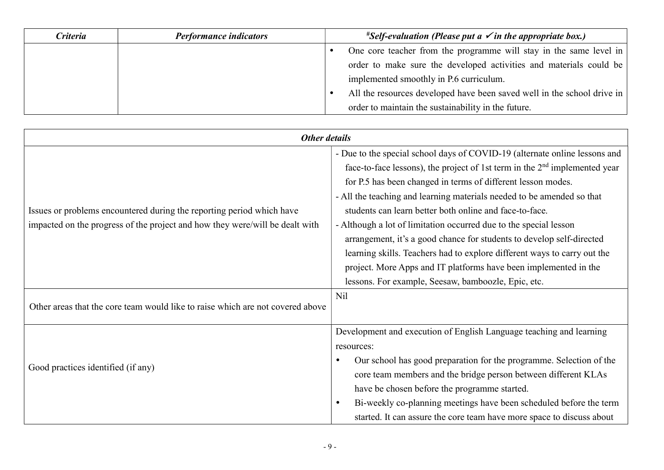| Criteria | <b>Performance indicators</b> | <i>*Self-evaluation (Please put a <math>\checkmark</math> in the appropriate box.)</i> |                                                                         |
|----------|-------------------------------|----------------------------------------------------------------------------------------|-------------------------------------------------------------------------|
|          |                               |                                                                                        | One core teacher from the programme will stay in the same level in      |
|          |                               |                                                                                        | order to make sure the developed activities and materials could be      |
|          |                               |                                                                                        | implemented smoothly in P.6 curriculum.                                 |
|          |                               |                                                                                        | All the resources developed have been saved well in the school drive in |
|          |                               |                                                                                        | order to maintain the sustainability in the future.                     |

| Other details                                                                                                                                         |                                                                                                                                                                                                                                                                                                                                                                                                                                                                                                                                                                                                                                                                                                                      |  |
|-------------------------------------------------------------------------------------------------------------------------------------------------------|----------------------------------------------------------------------------------------------------------------------------------------------------------------------------------------------------------------------------------------------------------------------------------------------------------------------------------------------------------------------------------------------------------------------------------------------------------------------------------------------------------------------------------------------------------------------------------------------------------------------------------------------------------------------------------------------------------------------|--|
| Issues or problems encountered during the reporting period which have<br>impacted on the progress of the project and how they were/will be dealt with | - Due to the special school days of COVID-19 (alternate online lessons and<br>face-to-face lessons), the project of 1st term in the $2nd$ implemented year<br>for P.5 has been changed in terms of different lesson modes.<br>- All the teaching and learning materials needed to be amended so that<br>students can learn better both online and face-to-face.<br>- Although a lot of limitation occurred due to the special lesson<br>arrangement, it's a good chance for students to develop self-directed<br>learning skills. Teachers had to explore different ways to carry out the<br>project. More Apps and IT platforms have been implemented in the<br>lessons. For example, Seesaw, bamboozle, Epic, etc. |  |
| Other areas that the core team would like to raise which are not covered above                                                                        | N <sub>il</sub>                                                                                                                                                                                                                                                                                                                                                                                                                                                                                                                                                                                                                                                                                                      |  |
| Good practices identified (if any)                                                                                                                    | Development and execution of English Language teaching and learning<br>resources:<br>Our school has good preparation for the programme. Selection of the<br>core team members and the bridge person between different KLAs<br>have be chosen before the programme started.<br>Bi-weekly co-planning meetings have been scheduled before the term<br>started. It can assure the core team have more space to discuss about                                                                                                                                                                                                                                                                                            |  |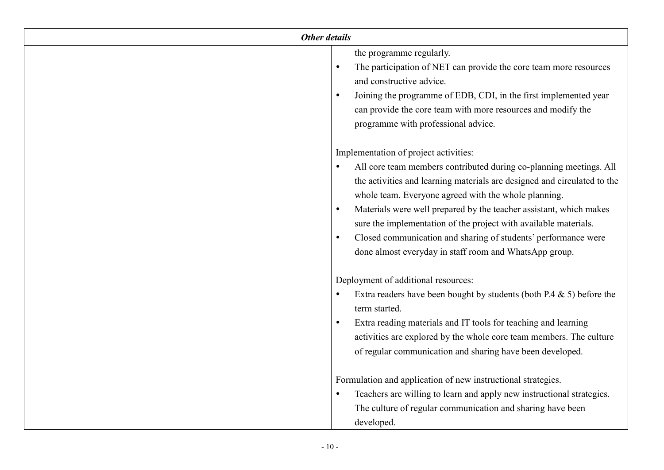| Other details |                                                                                                                                                                                                                                                                                                                                                                                                                                                                                                                       |  |
|---------------|-----------------------------------------------------------------------------------------------------------------------------------------------------------------------------------------------------------------------------------------------------------------------------------------------------------------------------------------------------------------------------------------------------------------------------------------------------------------------------------------------------------------------|--|
|               | the programme regularly.<br>The participation of NET can provide the core team more resources<br>and constructive advice.<br>Joining the programme of EDB, CDI, in the first implemented year<br>can provide the core team with more resources and modify the<br>programme with professional advice.                                                                                                                                                                                                                  |  |
|               | Implementation of project activities:<br>All core team members contributed during co-planning meetings. All<br>the activities and learning materials are designed and circulated to the<br>whole team. Everyone agreed with the whole planning.<br>Materials were well prepared by the teacher assistant, which makes<br>sure the implementation of the project with available materials.<br>Closed communication and sharing of students' performance were<br>done almost everyday in staff room and WhatsApp group. |  |
|               | Deployment of additional resources:<br>Extra readers have been bought by students (both P.4 $\&$ 5) before the<br>term started.<br>Extra reading materials and IT tools for teaching and learning<br>activities are explored by the whole core team members. The culture<br>of regular communication and sharing have been developed.                                                                                                                                                                                 |  |
|               | Formulation and application of new instructional strategies.<br>Teachers are willing to learn and apply new instructional strategies.<br>The culture of regular communication and sharing have been<br>developed.                                                                                                                                                                                                                                                                                                     |  |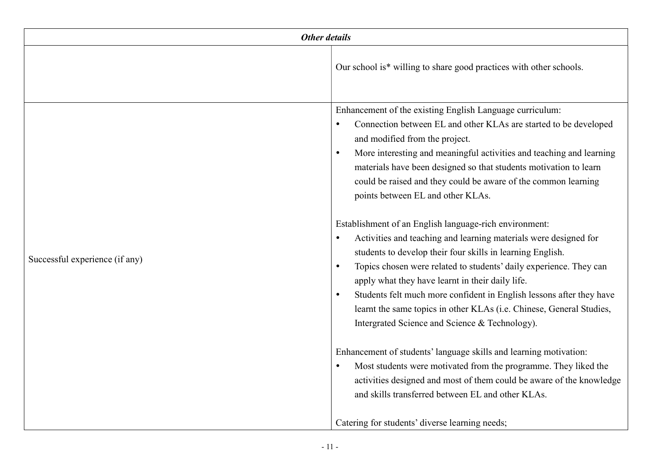| Other details                  |                                                                                                                                                                                                                                                                                                                                                                                                                                                                                                                                                                                                                                                                                                                                                                                                                                                                                                                                                                                   |
|--------------------------------|-----------------------------------------------------------------------------------------------------------------------------------------------------------------------------------------------------------------------------------------------------------------------------------------------------------------------------------------------------------------------------------------------------------------------------------------------------------------------------------------------------------------------------------------------------------------------------------------------------------------------------------------------------------------------------------------------------------------------------------------------------------------------------------------------------------------------------------------------------------------------------------------------------------------------------------------------------------------------------------|
|                                | Our school is* willing to share good practices with other schools.                                                                                                                                                                                                                                                                                                                                                                                                                                                                                                                                                                                                                                                                                                                                                                                                                                                                                                                |
| Successful experience (if any) | Enhancement of the existing English Language curriculum:<br>Connection between EL and other KLAs are started to be developed<br>and modified from the project.<br>More interesting and meaningful activities and teaching and learning<br>$\bullet$<br>materials have been designed so that students motivation to learn<br>could be raised and they could be aware of the common learning<br>points between EL and other KLAs.<br>Establishment of an English language-rich environment:<br>Activities and teaching and learning materials were designed for<br>students to develop their four skills in learning English.<br>Topics chosen were related to students' daily experience. They can<br>$\bullet$<br>apply what they have learnt in their daily life.<br>Students felt much more confident in English lessons after they have<br>$\bullet$<br>learnt the same topics in other KLAs (i.e. Chinese, General Studies,<br>Intergrated Science and Science & Technology). |
|                                | Enhancement of students' language skills and learning motivation:<br>Most students were motivated from the programme. They liked the<br>activities designed and most of them could be aware of the knowledge<br>and skills transferred between EL and other KLAs.                                                                                                                                                                                                                                                                                                                                                                                                                                                                                                                                                                                                                                                                                                                 |
|                                | Catering for students' diverse learning needs;                                                                                                                                                                                                                                                                                                                                                                                                                                                                                                                                                                                                                                                                                                                                                                                                                                                                                                                                    |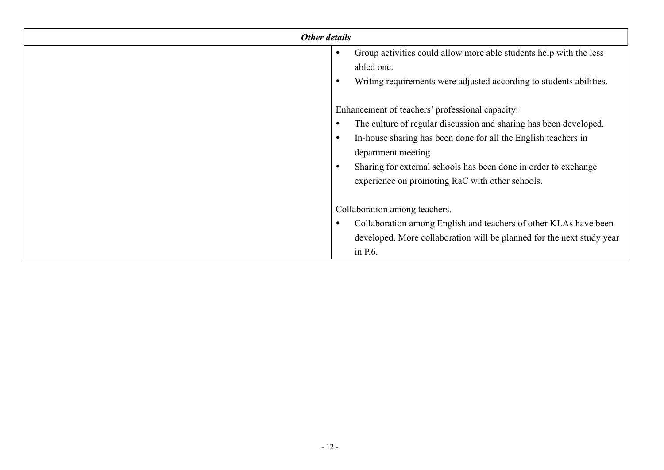| <b>Other details</b> |                                                                       |
|----------------------|-----------------------------------------------------------------------|
|                      | Group activities could allow more able students help with the less    |
|                      | abled one.                                                            |
|                      | Writing requirements were adjusted according to students abilities.   |
|                      |                                                                       |
|                      | Enhancement of teachers' professional capacity:                       |
|                      | The culture of regular discussion and sharing has been developed.     |
|                      | In-house sharing has been done for all the English teachers in        |
|                      | department meeting.                                                   |
|                      | Sharing for external schools has been done in order to exchange       |
|                      | experience on promoting RaC with other schools.                       |
|                      |                                                                       |
|                      | Collaboration among teachers.                                         |
|                      | Collaboration among English and teachers of other KLAs have been      |
|                      | developed. More collaboration will be planned for the next study year |
|                      | in P.6.                                                               |